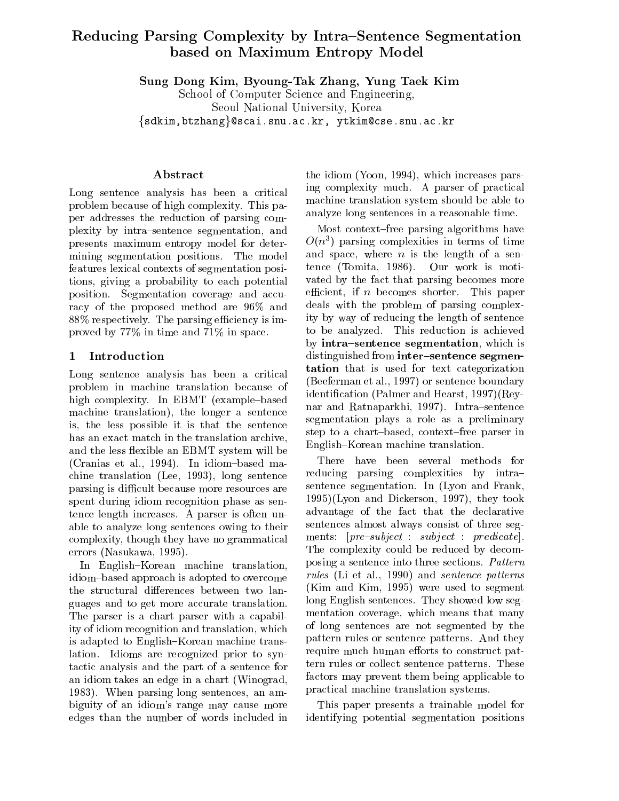# Reducing Parsing Complexity by Intra{Sentence Segmentation based on Maximum Entropy Model

Sung Dong Kim, Byoung-Tak Zhang, Yung Taek Kim

School of Computer Science and Engineering, Seoul National University, Korea fsdkim,btzhangg@scai.snu.ac.kr, ytkim@cse.snu.ac.kr

# Abstract

Long sentence analysis has been a critical problem because of high complexity. This paper addresses the reduction of parsing complexity by intra-sentence segmentation, and presents maximum entropy model for determining segmentation positions. The model features lexical contexts of segmentation positions, giving a probability to each potential position. Segmentation coverage and accuracy of the proposed method are 96% and  $88\%$  respectively. The parsing efficiency is improved by 77% in time and 71% in space.

### 1 Introduction

Long sentence analysis has been a critical problem in machine translation because of high complexity. In EBMT (example-based machine translation), the longer a sentence is, the less possible it is that the sentence has an exact match in the translation archive, and the less flexible an EBMT system will be (Cranias et al., 1994). In idiom-based machine translation (Lee, 1993), long sentence parsing is difficult because more resources are spent during idiom recognition phase as sentence length increases. A parser is often unable to analyze long sentences owing to their complexity, though they have no grammatical errors (Nasukawa, 1995).

In English-Korean machine translation, idiom-based approach is adopted to overcome the structural differences between two languages and to get more accurate translation. The parser is a chart parser with a capability of idiom recognition and translation, which is adapted to English-Korean machine translation. Idioms are recognized prior to syntactic analysis and the part of a sentence for an idiom takes an edge in a chart (Winograd, 1983). When parsing long sentences, an ambiguity of an idiom's range may cause more edges than the number of words included in the idiom (Yoon, 1994), which increases parsing complexity much. A parser of practical machine translation system should be able to analyze long sentences in a reasonable time.

Most context-free parsing algorithms have  $O(n^2)$  parsing complexities in terms of time and space, where  $n$  is the length of a sentence (Tomita, 1986). Our work is motivated by the fact that parsing becomes more efficient, if n becomes shorter. This paper deals with the problem of parsing complexity by way of reducing the length of sentence to be analyzed. This reduction is achieved by intra-sentence segmentation, which is distinguished from inter-sentence segmentation that is used for text categorization (Beeferman et al., 1997) or sentence boundary identication (Palmer and Hearst, 1997)(Reynar and Ratnaparkhi, 1997). Intra-sentence segmentation plays a role as a preliminary step to a chart-based, context-free parser in English-Korean machine translation.

There have been several methods for reducing parsing complexities by intrasentence segmentation. In (Lyon and Frank, 1995)(Lyon and Dickerson, 1997), they took advantage of the fact that the declarative sentences almost always consist of three segments:  $[pre-subject : subject : project : predicate].$ The complexity could be reduced by decomposing a sentence into three sections. Pattern rules (Li et al., 1990) and sentence patterns (Kim and Kim, 1995) were used to segment long English sentences. They showed low segmentation coverage, which means that many of long sentences are not segmented by the pattern rules or sentence patterns. And they require much human efforts to construct pattern rules or collect sentence patterns. These factors may prevent them being applicable to practical machine translation systems.

This paper presents a trainable model for identifying potential segmentation positions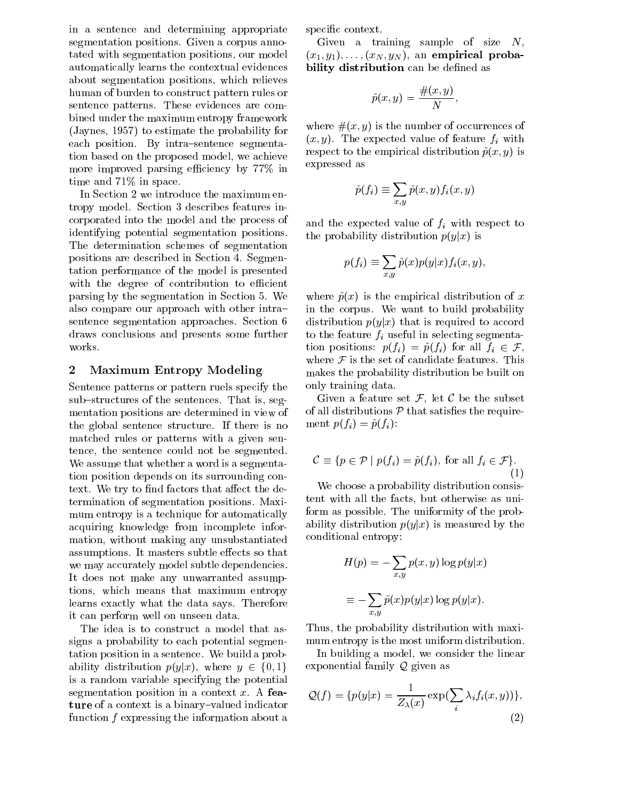in a sentence and determining appropriate segmentation positions. Given a corpus annotated with segmentation positions, our model automatically learns the contextual evidences about segmentation positions, which relieves human of burden to construct pattern rules or sentence patterns. These evidences are combined under the maximum entropy framework (Jaynes, 1957) to estimate the probability for each position. By intra-sentence segmentation based on the proposed model, we achieve more improved parsing efficiency by 77% in time and 71% in space.

In Section 2 we introduce the maximum entropy model. Section 3 describes features incorporated into the model and the process of identifying potential segmentation positions. The determination schemes of segmentation positions are described in Section 4. Segmentation performance of the model is presented with the degree of contribution to efficient parsing by the segmentation in Section 5. We also compare our approach with other intrasentence segmentation approaches. Section 6 draws conclusions and presents some further works.

### 2 Maximum Entropy Modeling

Sentence patterns or pattern ruels specify the sub-structures of the sentences. That is, segmentation positions are determined in view of the global sentence structure. If there is no matched rules or patterns with a given sentence, the sentence could not be segmented. We assume that whether a word is a segmentation position depends on its surrounding context. We try to find factors that affect the determination of segmentation positions. Maximum entropy is a technique for automatically acquiring knowledge from incomplete information, without making any unsubstantiated assumptions. It masters subtle effects so that we may accurately model subtle dependencies. It does not make any unwarranted assumptions, which means that maximum entropy learns exactly what the data says. Therefore it can perform well on unseen data.

The idea is to construct a model that assigns a probability to each potential segmentation position in a sentence. We build a probability distribution  $p(y|x)$ , where  $y \in \{0, 1\}$ is a random variable specifying the potential segmentation position in a context  $x$ . A feature of a context is a binary-valued indicator function  $f$  expressing the information about a

specific context.

Given a training sample of size  $N$ ,  $(x_1, y_1), \ldots, (x_N, y_N)$ , an empirical probability distribution can be defined as

$$
\tilde{p}(x,y) = \frac{\#(x,y)}{N},
$$

where  $\#(x, y)$  is the number of occurrences of  $(x, y)$ . The expected value of feature  $f_i$  with respect to the empirical distribution  $\tilde{p}(x, y)$  is expressed as

$$
\tilde{p}(f_i) \equiv \sum_{x,y} \tilde{p}(x,y) f_i(x,y)
$$

and the expected value of  $f$  with respect to  $\mathbb{R}^n$ the probability distribution  $p(y|x)$  is

$$
p(f_i) \equiv \sum_{x,y} \tilde{p}(x)p(y|x)f_i(x,y),
$$

where  $\tilde{p}(x)$  is the empirical distribution of x in the corpus. We want to build probability distribution  $p(y|x)$  that is required to accord  $\sum_{i=1}^{n}$  to the figure finite selecting segmentstion positions:  $p(f_i) = \tilde{p}(f_i)$  for all  $f_i \in \mathcal{F}$ , where  $\mathcal F$  is the set of candidate features. This makes the probability distribution be built on only training data.

Given a feature set  $\mathcal{F}$ , let  $\mathcal{C}$  be the subset of all distributions  $P$  that satisfies the requirement  $p(f_i) = \tilde{p}(f_i)$ :

$$
\mathcal{C} \equiv \{ p \in \mathcal{P} \mid p(f_i) = \tilde{p}(f_i), \text{ for all } f_i \in \mathcal{F} \}. \tag{1}
$$

We choose a probability distribution consistent with all the facts, but otherwise as uniform as possible. The uniformity of the probability distribution  $p(y|x)$  is measured by the conditional entropy:

$$
H(p) = -\sum_{x,y} p(x,y) \log p(y|x)
$$

$$
\equiv -\sum_{x,y} \tilde{p}(x)p(y|x) \log p(y|x).
$$

Thus, the probability distribution with maximum entropy is the most uniform distribution.

In building a model, we consider the linear exponential family Q given as

$$
\mathcal{Q}(f) = \{p(y|x) = \frac{1}{Z_{\lambda}(x)} \exp(\sum_{i} \lambda_i f_i(x, y))\},\tag{2}
$$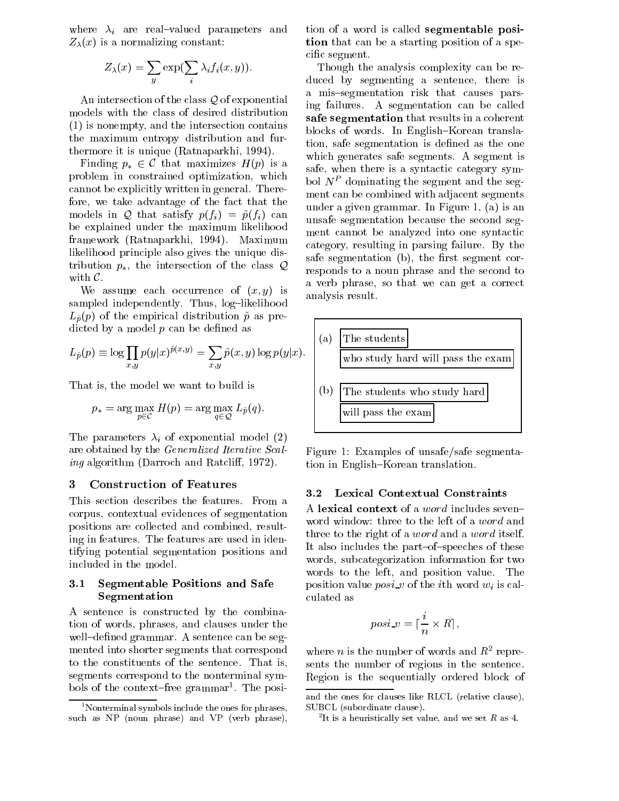where  $\eta$  are real valued parameters and view of  $Z_{\lambda}(x)$  is a normalizing constant:

$$
Z_{\lambda}(x) = \sum_{y} \exp\left(\sum_{i} \lambda_{i} f_{i}(x, y)\right).
$$

An intersection of the class Q of exponential models with the class of desired distribution (1) is nonempty, and the intersection contains the maximum entropy distribution and furthermore it is unique (Ratnaparkhi, 1994).

Finding  $p_* \in \mathcal{C}$  that maximizes  $H(p)$  is a problem in constrained optimization, which cannot be explicitly written in general. Therefore, we take advantage of the fact that the models in Q that satisfy  $p(f_i) = \tilde{p}(f_i)$  can be explained under the maximum likelihood framework (Ratnaparkhi, 1994). Maximum likelihood principle also gives the unique distribution  $p_*$ , the intersection of the class  $\mathcal Q$ with C.

We assume each occurrence of  $(x, y)$  is sampled independently. Thus, log-likelihood  $L_{\tilde{p}}(p)$  of the empirical distribution  $\tilde{p}$  as predicted by a model  $p$  can be defined as

$$
L_{\tilde{p}}(p) \equiv \log \prod_{x,y} p(y|x)^{\tilde{p}(x,y)} = \sum_{x,y} \tilde{p}(x,y) \log p(y|x). \quad \boxed{\phantom{a}}
$$

That is, the model we want to build is

$$
p_* = \arg\max_{p \in \mathcal{C}} H(p) = \arg\max_{q \in \mathcal{Q}} L_{\tilde{p}}(q).
$$

 $\mathbf{r}$  is parameters  $\mathbf{r}_i$  or exponential model (2) are obtained by the Generalized Iterative Scaling algorithm (Darroch and Ratcliff, 1972).

### 3 Construction of Features

This section describes the features. From a corpus, contextual evidences of segmentation positions are collected and combined, resulting in features. The features are used in identifying potential segmentation positions and included in the model.

#### Segmentable Positions and Safe  $3.1$ Segmentation

A sentence is constructed by the combination of words, phrases, and clauses under the well-defined grammar. A sentence can be segmented into shorter segments that correspond to the constituents of the sentence. That is, segments correspond to the nonterminal symbols of the context{free grammar1 . The posi-

tion of a word is called segmentable position that can be a starting position of a specific segment.

Though the analysis complexity can be reduced by segmenting a sentence, there is a mis-segmentation risk that causes parsing failures. A segmentation can be called safe segmentation that results in a coherent blocks of words. In English-Korean translation, safe segmentation is defined as the one which generates safe segments. A segment is safe, when there is a syntactic category symbol  $N^P$  dominating the segment and the segment can be combined with adjacent segments under a given grammar. In Figure 1, (a) is an unsafe segmentation because the second segment cannot be analyzed into one syntactic category, resulting in parsing failure. By the safe segmentation (b), the first segment corresponds to a noun phrase and the second to a verb phrase, so that we can get a correct analysis result.



Figure 1: Examples of unsafe/safe segmentation in English-Korean translation.

### 3.2 Lexical Contextual Constraints

A lexical context of a *word* includes seven $$ word window: three to the left of a word and three to the right of a *word* and a *word* itself. It also includes the part-of-speeches of these words, subcategorization information for two words to the left, and position value. The position value position value with which will be it the culated as

$$
posi\_v = \lceil \frac{i}{n} \times R \rceil,
$$

where *n* is the number of words and  $R^2$  represents the number of regions in the sentence. Region is the sequentially ordered block of

 $1$ <sup>1</sup>Nonterminal symbols include the ones for phrases, such as NP (noun phrase) and VP (verb phrase),

and the ones for clauses like RLCL (relative clause), SUBCL (subordinate clause).

It is a heuristically set value, and we set  $R$  as 4.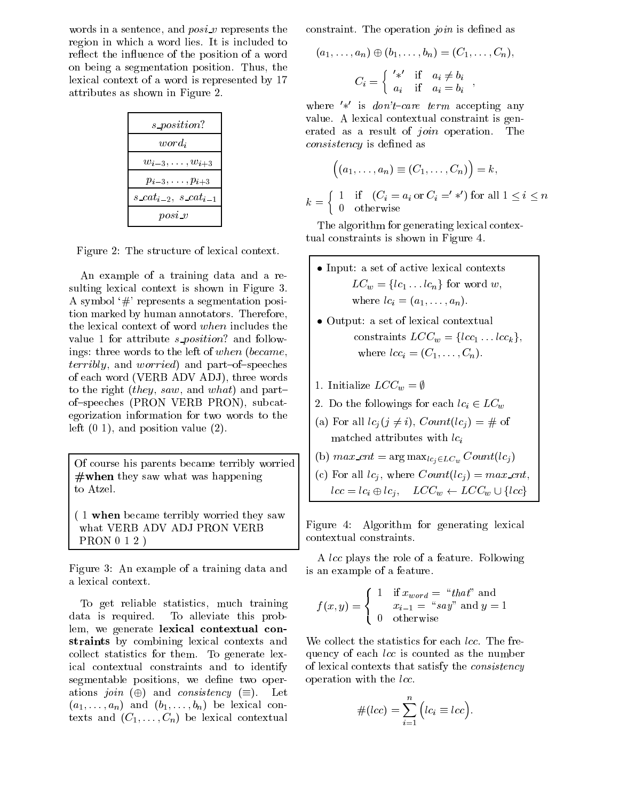words in a sentence, and  $posi$  v represents the region in which a word lies. It is included to reflect the influence of the position of a word on being a segmentation position. Thus, the lexical context of a word is represented by 17 attributes as shown in Figure 2.

| s_position?                                 |  |
|---------------------------------------------|--|
| $word_i$                                    |  |
| $w_{i-3}, \ldots, w_{i+3}$                  |  |
| $p_{i-3},\ldots,p_{i+3}$                    |  |
| s_cat <sub>i-2</sub> , s_cat <sub>i-1</sub> |  |
| $posi_v$                                    |  |

Figure 2: The structure of lexical context.

An example of a training data and a resulting lexical context is shown in Figure 3. A symbol  $\#$  represents a segmentation position marked by human annotators. Therefore, the lexical context of word when includes the value 1 for attribute  $s\text{-}position$ ? and followings: three words to the left of when (became, *terribly*, and *worried*) and part-of-speeches of each word (VERB ADV ADJ), three words to the right (they, saw, and what) and partof{speeches (PRON VERB PRON), subcategorization information for two words to the left  $(0 1)$ , and position value  $(2)$ .

Of course his parents became terribly worried  $#$  when they saw what was happening to Atzel.

( 1 when became terribly worried they saw what VERB ADV ADJ PRON VERB PRON 0 1 2 )

Figure 3: An example of a training data and a lexical context.

To get reliable statistics, much training data is required. To alleviate this problem, we generate lexical contextual constraints by combining lexical contexts and collect statistics for them. To generate lexical contextual constraints and to identify segmentable positions, we define two operations join  $(\oplus)$  and consistency  $(\equiv)$ . Let  $(a_1,\ldots,a_n)$  and  $(b_1,\ldots,b_n)$  be lexical contexts and  $(C_1,\ldots,C_n)$  be lexical contextual

constraint. The operation *join* is defined as

$$
(a_1, \ldots, a_n) \oplus (b_1, \ldots, b_n) = (C_1, \ldots, C_n),
$$

$$
C_i = \begin{cases} \n' \ast' & \text{if } a_i \neq b_i \\ \na_i & \text{if } a_i = b_i \n\end{cases}
$$

where  $\frac{1}{k}$  is *don't-care term* accepting any value. A lexical contextual constraint is generated as a result of join operation. The consistency is dened as

$$
\left( (a_1, \ldots, a_n) \equiv (C_1, \ldots, C_n) \right) = k,
$$
  
= 
$$
\begin{cases} 1 & \text{if } (C_i = a_i \text{ or } C_i = ' *') \text{ for all } 1 \le i \le n \\ 0 & \text{otherwise} \end{cases}
$$

The algorithm for generating lexical contextual constraints is shown in Figure 4.

- $\bullet$  Input: a set of active lexical contexts  $LC_w = \{lc_1 \dots lc_n\}$  for word w,  $\cdots$  =  $\cdots$  =  $\cdots$ ,  $\cdots$ ,  $\cdots$ ,  $\cdots$ ,  $\cdots$ ,  $\cdots$
- $\bullet$  Output: a set of lexical contextual  $\hspace{0.1mm}$ constraints  $LCC_w = \{lcc_1 \dots lcc_k\},$ where  $\epsilon$  is a contract  $\epsilon$  is the contract of  $\epsilon$
- 1. Initialize  $LCC_w = \emptyset$

 $k<sub>k</sub>$ 

- 2. Do the followings for each  $lc_i \in LC_w$
- (a) For all  $lc_i (j \neq i)$ ,  $Count(lc_i) = \#$  of matched attributes with  $lc_i$
- (b)  $max\_cnt = \arg max_{lc_i \in LC_w} Count(lc_i)$
- (c) For all lcj , where County (iii)  $\sim$  maximum can count  $lcc = lc_i \oplus lc_j, \quad LCC_w \leftarrow LCC_w \cup \{lcc\}$

Figure 4: Algorithm for generating lexical contextual constraints.

A lcc plays the role of a feature. Following is an example of a feature.

$$
f(x,y) = \begin{cases} 1 & \text{if } x_{word} = "that" \text{ and} \\ x_{i-1} = "say" \text{ and } y = 1 \\ 0 & \text{otherwise} \end{cases}
$$

We collect the statistics for each *lcc*. The frequency of each *lcc* is counted as the number of lexical contexts that satisfy the consistency operation with the *lcc*.

$$
#(lcc) = \sum_{i=1}^{n} (lc_i \equiv lcc).
$$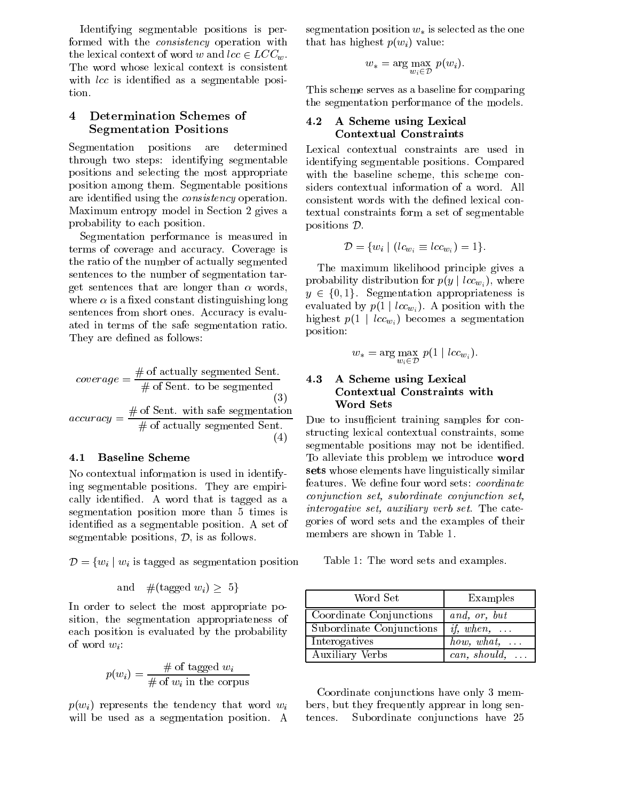Identifying segmentable positions is performed with the consistency operation with the lexical context of word w and  $lcc \in LCC_w$ . The word whose lexical context is consistent with *lcc* is identified as a segmentable posi-

#### 4 Determination Schemes of  $\overline{4}$ Segmentation Positions

Segmentation positions are determined through two steps: identifying segmentable positions and selecting the most appropriate position among them. Segmentable positions are identied using the consistency operation. Maximum entropy model in Section 2 gives a probability to each position.

Segmentation performance is measured in terms of coverage and accuracy. Coverage is the ratio of the number of actually segmented sentences to the number of segmentation target sentences that are longer than  $\alpha$  words, where  $\alpha$  is a fixed constant distinguishing long sentences from short ones. Accuracy is evaluated in terms of the safe segmentation ratio. They are defined as follows:

$$
coverage = \frac{\# \text{ of actually segmented Sent.}}{\# \text{ of Sent. to be segmented}} \qquad \qquad \textbf{4.3}
$$
\n
$$
accuracy = \frac{\# \text{ of Sent. with safe segmentation}}{\# \text{ of actually segmented Sent.}} \qquad \text{Du}
$$
\n
$$
(4)
$$

### 4.1 Baseline Scheme

No contextual information is used in identifying segmentable positions. They are empirically identied. A word that is tagged as a segmentation position more than 5 times is identied as a segmentable position. A set of segmentable positions, D, is as follows.

 $D = \{w_i \mid w_i \text{ is tagged as segmentation position}\}$ 

and 
$$
\#(\text{tagged }w_i) \geq 5
$$

In order to select the most appropriate position, the segmentation appropriateness of each position is evaluated by the probability of word  $w_i$ :

$$
p(w_i) = \frac{\text{\# of tagged } w_i}{\text{\# of } w_i \text{ in the corpus}}
$$

 $p(w_i)$  represents the tendency that word  $w_i$ will be used as a segmentation position. A tences.

segmentation position  $w_*$  is selected as the one that has highest  $p(w_i)$  value:

$$
w_* = \arg\max_{w_i \in \mathcal{D}} p(w_i).
$$

This scheme serves as a baseline for comparing the segmentation performance of the models.

#### A Scheme using Lexical  $4.2$ **Contextual Constraints**

Lexical contextual constraints are used in identifying segmentable positions. Compared with the baseline scheme, this scheme considers contextual information of a word. All consistent words with the defined lexical contextual constraints form a set of segmentable positions D.

$$
\mathcal{D} = \{w_i \mid (lc_{w_i} \equiv lcw_{i_i}) = 1\}.
$$

The maximum likelihood principle gives a probability distribution for  $p(y \mid lcc_{w_i})$ , where  $y \in \{0, 1\}$ . Segmentation appropriateness is evaluated by  $p(1 | loc_{w_i})$ . A position with the highest  $p(1 \mid lcc_{w_i})$  becomes a segmentation position:

$$
w_* = \arg\max_{w_i \in \mathcal{D}} p(1 \mid lcc_{w_i}).
$$

### 4.3 A Scheme using Lexical Contextual Constraints with Word Sets

 $=\frac{h}{v}$  of Sentence separation of Sentence segmentation of the samples for con- $\sum_{n=1}^{\infty}$  segmentable positions may not be identified. structing lexical contextual constraints, some To alleviate this problem we introduce word sets whose elements have linguistically similar features. We define four word sets: *coordinate* conjunction set, subordinate conjunction set, interogative set, auxiliary verb set. The categories of word sets and the examples of their members are shown in Table 1.

Table 1: The word sets and examples.

| Word Set                 | Examples                   |
|--------------------------|----------------------------|
| Coordinate Conjunctions  | and, or, but               |
| Subordinate Conjunctions | <i>if</i> , when, $\ldots$ |
| Interogatives            | how, what, $\dots$         |
| <b>Auxiliary Verbs</b>   | $can, should, \ldots$      |

Coordinate conjunctions have only 3 members, but they frequently apprear in long sen-Subordinate conjunctions have 25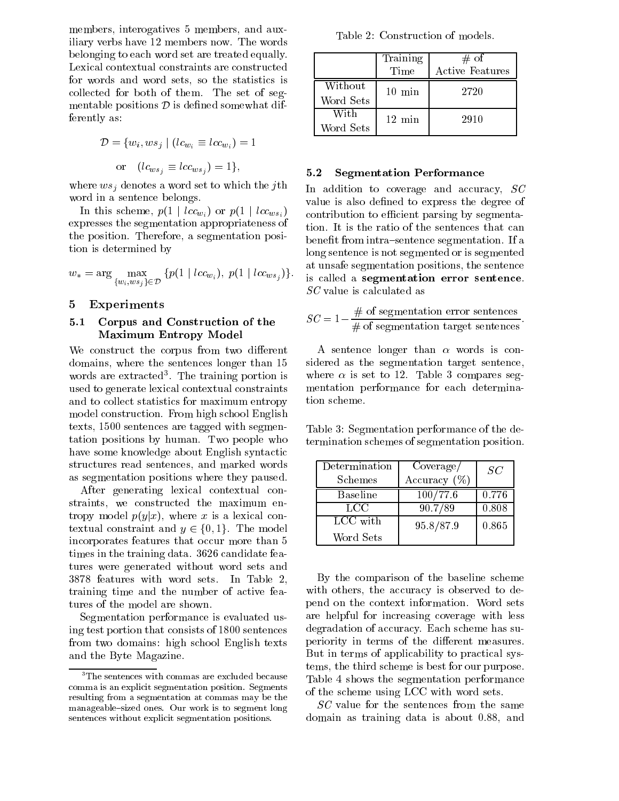members, interogatives 5 members, and auxiliary verbs have 12 members now. The words belonging to each word set are treated equally. Lexical contextual constraints are constructed for words and word sets, so the statistics is collected for both of them. The set of segmentable positions  $D$  is defined somewhat differently as:

$$
\mathcal{D} = \{w_i, ws_j \mid (lc_{w_i} \equiv lcc_{w_i}) = 1
$$

$$
or \quad (lc_{ws_j} \equiv lcc_{ws_j}) = 1\},
$$

where wsj denotes a word set to where the june in the gr word in a sentence belongs.

In this scheme,  $p(1 \mid lcc_{w_i})$  or  $p(1 \mid lcc_{ws_i})$ expresses the segmentation appropriateness of the position. Therefore, a segmentation position is determined by

$$
w_* = \arg\max_{\{w_i, w s_j\} \in \mathcal{D}} \{p(1 \mid lcc_{w_i}), \ p(1 \mid lcc_{ws_j})\}.
$$

### 5 Experiments

### 5.1 Corpus and Construction of the Maximum Entropy Model

We construct the corpus from two different domains, where the sentences longer than 15 words are extracted . The training portion is wh used to generate lexical contextual constraints and to collect statistics for maximum entropy model construction. From high school English texts, 1500 sentences are tagged with segmentation positions by human. Two people who have some knowledge about English syntactic structures read sentences, and marked words as segmentation positions where they paused.

After generating lexical contextual constraints, we constructed the maximum entropy model  $p(y|x)$ , where x is a lexical contextual constraint and  $y \in \{0, 1\}$ . The model incorporates features that occur more than 5 times in the training data. 3626 candidate features were generated without word sets and 3878 features with word sets. In Table 2, training time and the number of active features of the model are shown.

Segmentation performance is evaluated using test portion that consists of 1800 sentences from two domains: high school English texts and the Byte Magazine.

Table 2: Construction of models.

|                      | Training<br>Time | # of<br>Active Features |
|----------------------|------------------|-------------------------|
| Without<br>Word Sets | $10 \text{ min}$ | 2720                    |
| With<br>Word Sets    | $12 \text{ min}$ | 2910                    |

### 5.2 Segmentation Performance

In addition to coverage and accuracy, SC value is also defined to express the degree of contribution to efficient parsing by segmentation. It is the ratio of the sentences that can benefit from intra-sentence segmentation. If a long sentence is not segmented or is segmented at unsafe segmentation positions, the sentence is called a segmentation error sentence. SC value is calculated as

$$
SC = 1 - \frac{\text{\# of segmentation error sentences}}{\text{\# of segmentation target sentences}}.
$$

A sentence longer than  $\alpha$  words is considered as the segmentation target sentence, where  $\alpha$  is set to 12. Table 3 compares segmentation performance for each determination scheme.

Table 3: Segmentation performance of the determination schemes of segmentation position.

| Determination<br>Schemes | Coverage/<br>Accuracy $(\%)$ | SC    |
|--------------------------|------------------------------|-------|
| Baseline                 | 100/77.6                     | 0.776 |
| LCC.                     | 90.7/89                      | 0.808 |
| LCC with                 | 95.8/87.9                    | 0.865 |
| Word Sets                |                              |       |

By the comparison of the baseline scheme with others, the accuracy is observed to depend on the context information. Word sets are helpful for increasing coverage with less degradation of accuracy. Each scheme has superiority in terms of the different measures. But in terms of applicability to practical systems, the third scheme is best for our purpose. Table 4 shows the segmentation performance of the scheme using LCC with word sets.

SC value for the sentences from the same domain as training data is about 0.88, and

<sup>3</sup>The sentences with commas are excluded because comma is an explicit segmentation position. Segments resulting from a segmentation at commas may be the manageable-sized ones. Our work is to segment long sentences without explicit segmentation positions.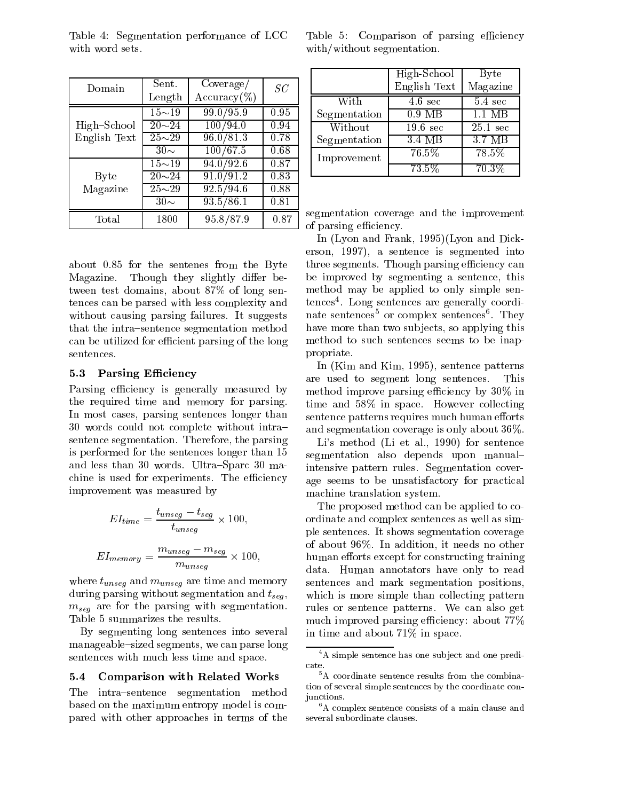|              |                         |                |      |                                                   | TTIKIL.       |
|--------------|-------------------------|----------------|------|---------------------------------------------------|---------------|
| Domain       | Sent.                   | Coverage/      | SC   |                                                   | <b>Englis</b> |
|              | Length                  | $Accuracy(\%)$ |      | With                                              | 4.6           |
|              | $\overline{15} \sim 19$ | 99.0 / 95.9    | 0.95 | Segmentation                                      | 0.9           |
| High-School  | $\overline{20}$ ~24     | 100/94.0       | 0.94 | Without                                           | 19.6          |
| English Text | $25\sim29$              | 96.0 / 81.3    | 0.78 | Segmentation                                      | 3.4           |
|              | $30\sim$                | 100/67.5       | 0.68 | Improvement                                       | 76.           |
|              | $15{\sim}19$            | 94.0/92.6      | 0.87 |                                                   | 73.           |
| Byte         | $20 - 24$               | 91.0/91.2      | 0.83 |                                                   |               |
| Magazine     | $25 - 29$               | 92.5/94.6      | 0.88 |                                                   |               |
|              | $30\sim$                | 93.5/86.1      | 0.81 |                                                   |               |
| Total        | 1800                    | 95.8/87.9      | 0.87 | segmentation coverage a<br>of parsing efficiency. |               |

Table 4: Segmentation performance of LCC with word sets.

about 0.85 for the sentenes from the Byte Magazine. Though they slightly differ between test domains, about 87% of long sentences can be parsed with less complexity and without causing parsing failures. It suggests that the intra-sentence segmentation method can be utilized for efficient parsing of the long sentences.

### 5.3 Parsing Efficiency

Parsing efficiency is generally measured by the required time and memory for parsing. In most cases, parsing sentences longer than 30 words could not complete without intra{ sentence segmentation. Therefore, the parsing is performed for the sentences longer than 15 and less than 30 words. Ultra-Sparc 30 machine is used for experiments. The efficiency improvement was measured by

$$
EI_{time} = \frac{t_{unseg} - t_{seg}}{t_{unseg}} \times 100,
$$
  

$$
EI_{memory} = \frac{m_{unseg} - m_{seg}}{m_{unseq}} \times 100,
$$

where tunsely and munsels are time and memory  $\sim$  DOMOO during parsing without segmentation and  $t_{seq}$ ,  $m_{seq}$  are for the parsing with segmentation. The results of  $m_{seq}$ Table 5 summarizes the results.

By segmenting long sentences into several manageable-sized segments, we can parse long sentences with much less time and space.

### 5.4 Comparison with Related Works

The intra-sentence segmentation method based on the maximum entropy model is compared with other approaches in terms of the

Table 5: Comparison of parsing efficiency with/without segmentation.

|              | High-School        | <b>Byte</b>        |
|--------------|--------------------|--------------------|
|              | English Text       | Magazine           |
| With         | $4.6 \text{ sec}$  | $5.4 \text{ sec}$  |
| Segmentation | $0.9$ MB           | $1.1$ MB           |
| Without      | $19.6 \text{ sec}$ | $25.1 \text{ sec}$ |
| Segmentation | 3.4 MB             | 3.7 MB             |
| Improvement  | $76.5\%$           | $78.5\%$           |
|              | $73.5\%$           | 70.3%              |

segmentation coverage and the improvement

In (Lyon and Frank, 1995)(Lyon and Dickerson, 1997), a sentence is segmented into three segments. Though parsing efficiency can be improved by segmenting a sentence, this method may be applied to only simple sentences . Long sentences are generally coordinate sentences or complex sentences . Iney have more than two subjects, so applying this method to such sentences seems to be inappropriate.

In (Kim and Kim, 1995), sentence patterns are used to segment long sentences. This method improve parsing efficiency by  $30\%$  in time and 58% in space. However collecting sentence patterns requires much human efforts and segmentation coverage is only about 36%.

Li's method (Li et al., 1990) for sentence segmentation also depends upon manualintensive pattern rules. Segmentation coverage seems to be unsatisfactory for practical machine translation system.

The proposed method can be applied to coordinate and complex sentences as well as simple sentences. It shows segmentation coverage of about 96%. In addition, it needs no other human efforts except for constructing training data. Human annotators have only to read sentences and mark segmentation positions, which is more simple than collecting pattern rules or sentence patterns. We can also get much improved parsing efficiency: about  $77\%$ in time and about 71% in space.

<sup>4</sup>A simple sentence has one sub ject and one predicate.

 $5A$  coordinate sentence results from the combination of several simple sentences by the coordinate conjunctions.

<sup>&</sup>lt;sup>6</sup>A complex sentence consists of a main clause and several subordinate clauses.